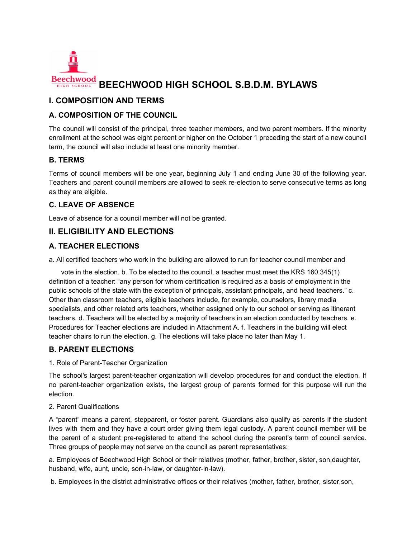

# **BEECHWOOD HIGH SCHOOL S.B.D.M. BYLAWS**

# **I. COMPOSITION AND TERMS**

## **A. COMPOSITION OF THE COUNCIL**

The council will consist of the principal, three teacher members, and two parent members. If the minority enrollment at the school was eight percent or higher on the October 1 preceding the start of a new council term, the council will also include at least one minority member.

## **B. TERMS**

Terms of council members will be one year, beginning July 1 and ending June 30 of the following year. Teachers and parent council members are allowed to seek re-election to serve consecutive terms as long as they are eligible.

## **C. LEAVE OF ABSENCE**

Leave of absence for a council member will not be granted.

# **II. ELIGIBILITY AND ELECTIONS**

## **A. TEACHER ELECTIONS**

a. All certified teachers who work in the building are allowed to run for teacher council member and

vote in the election. b. To be elected to the council, a teacher must meet the KRS 160.345(1) definition of a teacher: "any person for whom certification is required as a basis of employment in the public schools of the state with the exception of principals, assistant principals, and head teachers." c. Other than classroom teachers, eligible teachers include, for example, counselors, library media specialists, and other related arts teachers, whether assigned only to our school or serving as itinerant teachers. d. Teachers will be elected by a majority of teachers in an election conducted by teachers. e. Procedures for Teacher elections are included in Attachment A. f. Teachers in the building will elect teacher chairs to run the election. g. The elections will take place no later than May 1.

## **B. PARENT ELECTIONS**

1. Role of Parent-Teacher Organization

The school's largest parent-teacher organization will develop procedures for and conduct the election. If no parent-teacher organization exists, the largest group of parents formed for this purpose will run the election.

#### 2. Parent Qualifications

A "parent" means a parent, stepparent, or foster parent. Guardians also qualify as parents if the student lives with them and they have a court order giving them legal custody. A parent council member will be the parent of a student pre-registered to attend the school during the parent's term of council service. Three groups of people may not serve on the council as parent representatives:

a. Employees of Beechwood High School or their relatives (mother, father, brother, sister, son,daughter, husband, wife, aunt, uncle, son-in-law, or daughter-in-law).

b. Employees in the district administrative offices or their relatives (mother, father, brother, sister,son,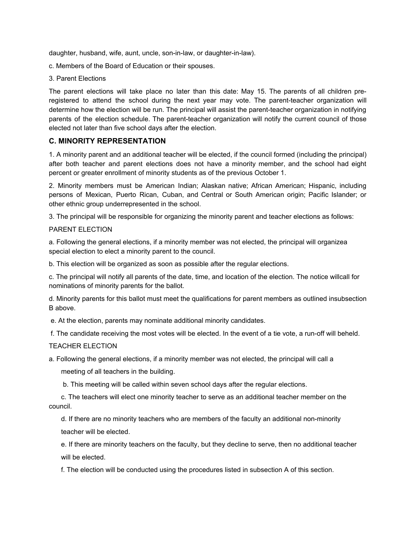daughter, husband, wife, aunt, uncle, son-in-law, or daughter-in-law).

- c. Members of the Board of Education or their spouses.
- 3. Parent Elections

The parent elections will take place no later than this date: May 15. The parents of all children preregistered to attend the school during the next year may vote. The parent-teacher organization will determine how the election will be run. The principal will assist the parent-teacher organization in notifying parents of the election schedule. The parent-teacher organization will notify the current council of those elected not later than five school days after the election.

#### **C. MINORITY REPRESENTATION**

1. A minority parent and an additional teacher will be elected, if the council formed (including the principal) after both teacher and parent elections does not have a minority member, and the school had eight percent or greater enrollment of minority students as of the previous October 1.

2. Minority members must be American Indian; Alaskan native; African American; Hispanic, including persons of Mexican, Puerto Rican, Cuban, and Central or South American origin; Pacific Islander; or other ethnic group underrepresented in the school.

3. The principal will be responsible for organizing the minority parent and teacher elections as follows:

#### PARENT ELECTION

a. Following the general elections, if a minority member was not elected, the principal will organizea special election to elect a minority parent to the council.

b. This election will be organized as soon as possible after the regular elections.

c. The principal will notify all parents of the date, time, and location of the election. The notice willcall for nominations of minority parents for the ballot.

d. Minority parents for this ballot must meet the qualifications for parent members as outlined insubsection B above.

e. At the election, parents may nominate additional minority candidates.

f. The candidate receiving the most votes will be elected. In the event of a tie vote, a run-off will beheld.

#### TEACHER ELECTION

a. Following the general elections, if a minority member was not elected, the principal will call a

meeting of all teachers in the building.

b. This meeting will be called within seven school days after the regular elections.

c. The teachers will elect one minority teacher to serve as an additional teacher member on the council.

d. If there are no minority teachers who are members of the faculty an additional non-minority teacher will be elected.

e. If there are minority teachers on the faculty, but they decline to serve, then no additional teacher will be elected.

f. The election will be conducted using the procedures listed in subsection A of this section.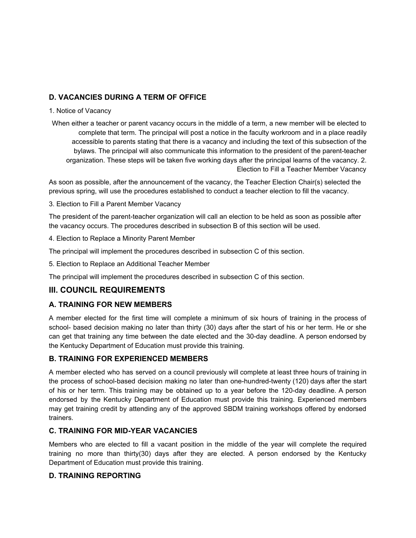# **D. VACANCIES DURING A TERM OF OFFICE**

#### 1. Notice of Vacancy

When either a teacher or parent vacancy occurs in the middle of a term, a new member will be elected to complete that term. The principal will post a notice in the faculty workroom and in a place readily accessible to parents stating that there is a vacancy and including the text of this subsection of the bylaws. The principal will also communicate this information to the president of the parent-teacher organization. These steps will be taken five working days after the principal learns of the vacancy. 2. Election to Fill a Teacher Member Vacancy

As soon as possible, after the announcement of the vacancy, the Teacher Election Chair(s) selected the previous spring, will use the procedures established to conduct a teacher election to fill the vacancy.

#### 3. Election to Fill a Parent Member Vacancy

The president of the parent-teacher organization will call an election to be held as soon as possible after the vacancy occurs. The procedures described in subsection B of this section will be used.

4. Election to Replace a Minority Parent Member

The principal will implement the procedures described in subsection C of this section.

5. Election to Replace an Additional Teacher Member

The principal will implement the procedures described in subsection C of this section.

# **III. COUNCIL REQUIREMENTS**

## **A. TRAINING FOR NEW MEMBERS**

A member elected for the first time will complete a minimum of six hours of training in the process of school- based decision making no later than thirty (30) days after the start of his or her term. He or she can get that training any time between the date elected and the 30-day deadline. A person endorsed by the Kentucky Department of Education must provide this training.

## **B. TRAINING FOR EXPERIENCED MEMBERS**

A member elected who has served on a council previously will complete at least three hours of training in the process of school-based decision making no later than one-hundred-twenty (120) days after the start of his or her term. This training may be obtained up to a year before the 120-day deadline. A person endorsed by the Kentucky Department of Education must provide this training. Experienced members may get training credit by attending any of the approved SBDM training workshops offered by endorsed trainers.

## **C. TRAINING FOR MID-YEAR VACANCIES**

Members who are elected to fill a vacant position in the middle of the year will complete the required training no more than thirty(30) days after they are elected. A person endorsed by the Kentucky Department of Education must provide this training.

## **D. TRAINING REPORTING**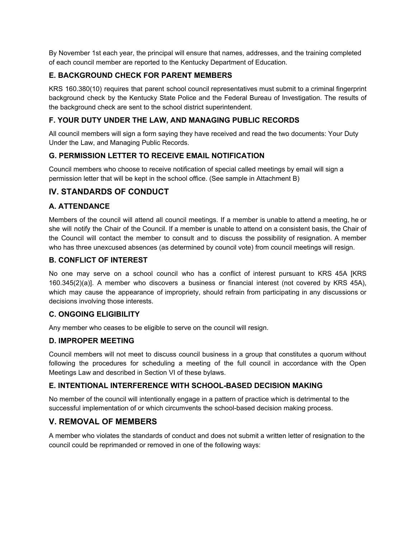By November 1st each year, the principal will ensure that names, addresses, and the training completed of each council member are reported to the Kentucky Department of Education.

# **E. BACKGROUND CHECK FOR PARENT MEMBERS**

KRS 160.380(10) requires that parent school council representatives must submit to a criminal fingerprint background check by the Kentucky State Police and the Federal Bureau of Investigation. The results of the background check are sent to the school district superintendent.

## **F. YOUR DUTY UNDER THE LAW, AND MANAGING PUBLIC RECORDS**

All council members will sign a form saying they have received and read the two documents: Your Duty Under the Law, and Managing Public Records.

## **G. PERMISSION LETTER TO RECEIVE EMAIL NOTIFICATION**

Council members who choose to receive notification of special called meetings by email will sign a permission letter that will be kept in the school office. (See sample in Attachment B)

# **IV. STANDARDS OF CONDUCT**

## **A. ATTENDANCE**

Members of the council will attend all council meetings. If a member is unable to attend a meeting, he or she will notify the Chair of the Council. If a member is unable to attend on a consistent basis, the Chair of the Council will contact the member to consult and to discuss the possibility of resignation. A member who has three unexcused absences (as determined by council vote) from council meetings will resign.

## **B. CONFLICT OF INTEREST**

No one may serve on a school council who has a conflict of interest pursuant to KRS 45A [KRS 160.345(2)(a)]. A member who discovers a business or financial interest (not covered by KRS 45A), which may cause the appearance of impropriety, should refrain from participating in any discussions or decisions involving those interests.

## **C. ONGOING ELIGIBILITY**

Any member who ceases to be eligible to serve on the council will resign.

## **D. IMPROPER MEETING**

Council members will not meet to discuss council business in a group that constitutes a quorum without following the procedures for scheduling a meeting of the full council in accordance with the Open Meetings Law and described in Section VI of these bylaws.

## **E. INTENTIONAL INTERFERENCE WITH SCHOOL-BASED DECISION MAKING**

No member of the council will intentionally engage in a pattern of practice which is detrimental to the successful implementation of or which circumvents the school-based decision making process.

# **V. REMOVAL OF MEMBERS**

A member who violates the standards of conduct and does not submit a written letter of resignation to the council could be reprimanded or removed in one of the following ways: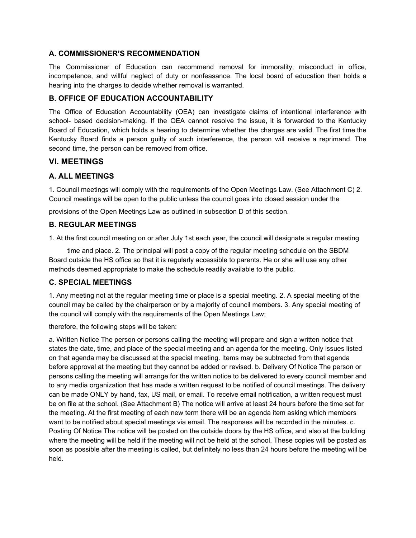#### **A. COMMISSIONER'S RECOMMENDATION**

The Commissioner of Education can recommend removal for immorality, misconduct in office, incompetence, and willful neglect of duty or nonfeasance. The local board of education then holds a hearing into the charges to decide whether removal is warranted.

#### **B. OFFICE OF EDUCATION ACCOUNTABILITY**

The Office of Education Accountability (OEA) can investigate claims of intentional interference with school- based decision-making. If the OEA cannot resolve the issue, it is forwarded to the Kentucky Board of Education, which holds a hearing to determine whether the charges are valid. The first time the Kentucky Board finds a person guilty of such interference, the person will receive a reprimand. The second time, the person can be removed from office.

## **VI. MEETINGS**

## **A. ALL MEETINGS**

1. Council meetings will comply with the requirements of the Open Meetings Law. (See Attachment C) 2. Council meetings will be open to the public unless the council goes into closed session under the

provisions of the Open Meetings Law as outlined in subsection D of this section.

#### **B. REGULAR MEETINGS**

1. At the first council meeting on or after July 1st each year, the council will designate a regular meeting

time and place. 2. The principal will post a copy of the regular meeting schedule on the SBDM Board outside the HS office so that it is regularly accessible to parents. He or she will use any other methods deemed appropriate to make the schedule readily available to the public.

## **C. SPECIAL MEETINGS**

1. Any meeting not at the regular meeting time or place is a special meeting. 2. A special meeting of the council may be called by the chairperson or by a majority of council members. 3. Any special meeting of the council will comply with the requirements of the Open Meetings Law;

therefore, the following steps will be taken:

a. Written Notice The person or persons calling the meeting will prepare and sign a written notice that states the date, time, and place of the special meeting and an agenda for the meeting. Only issues listed on that agenda may be discussed at the special meeting. Items may be subtracted from that agenda before approval at the meeting but they cannot be added or revised. b. Delivery Of Notice The person or persons calling the meeting will arrange for the written notice to be delivered to every council member and to any media organization that has made a written request to be notified of council meetings. The delivery can be made ONLY by hand, fax, US mail, or email. To receive email notification, a written request must be on file at the school. (See Attachment B) The notice will arrive at least 24 hours before the time set for the meeting. At the first meeting of each new term there will be an agenda item asking which members want to be notified about special meetings via email. The responses will be recorded in the minutes. c. Posting Of Notice The notice will be posted on the outside doors by the HS office, and also at the building where the meeting will be held if the meeting will not be held at the school. These copies will be posted as soon as possible after the meeting is called, but definitely no less than 24 hours before the meeting will be held.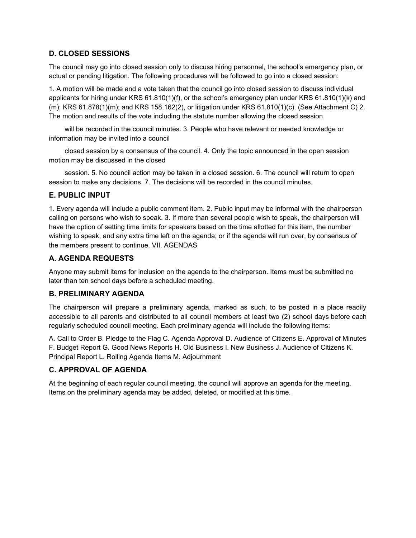#### **D. CLOSED SESSIONS**

The council may go into closed session only to discuss hiring personnel, the school's emergency plan, or actual or pending litigation. The following procedures will be followed to go into a closed session:

1. A motion will be made and a vote taken that the council go into closed session to discuss individual applicants for hiring under KRS 61.810(1)(f), or the school's emergency plan under KRS 61.810(1)(k) and (m); KRS 61.878(1)(m); and KRS 158.162(2), or litigation under KRS 61.810(1)(c). (See Attachment C) 2. The motion and results of the vote including the statute number allowing the closed session

will be recorded in the council minutes. 3. People who have relevant or needed knowledge or information may be invited into a council

closed session by a consensus of the council. 4. Only the topic announced in the open session motion may be discussed in the closed

session. 5. No council action may be taken in a closed session. 6. The council will return to open session to make any decisions. 7. The decisions will be recorded in the council minutes.

#### **E. PUBLIC INPUT**

1. Every agenda will include a public comment item. 2. Public input may be informal with the chairperson calling on persons who wish to speak. 3. If more than several people wish to speak, the chairperson will have the option of setting time limits for speakers based on the time allotted for this item, the number wishing to speak, and any extra time left on the agenda; or if the agenda will run over, by consensus of the members present to continue. VII. AGENDAS

#### **A. AGENDA REQUESTS**

Anyone may submit items for inclusion on the agenda to the chairperson. Items must be submitted no later than ten school days before a scheduled meeting.

#### **B. PRELIMINARY AGENDA**

The chairperson will prepare a preliminary agenda, marked as such, to be posted in a place readily accessible to all parents and distributed to all council members at least two (2) school days before each regularly scheduled council meeting. Each preliminary agenda will include the following items:

A. Call to Order B. Pledge to the Flag C. Agenda Approval D. Audience of Citizens E. Approval of Minutes F. Budget Report G. Good News Reports H. Old Business I. New Business J. Audience of Citizens K. Principal Report L. Rolling Agenda Items M. Adjournment

# **C. APPROVAL OF AGENDA**

At the beginning of each regular council meeting, the council will approve an agenda for the meeting. Items on the preliminary agenda may be added, deleted, or modified at this time.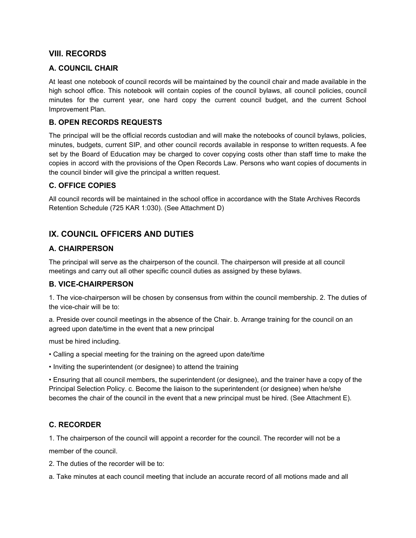# **VIII. RECORDS**

## **A. COUNCIL CHAIR**

At least one notebook of council records will be maintained by the council chair and made available in the high school office. This notebook will contain copies of the council bylaws, all council policies, council minutes for the current year, one hard copy the current council budget, and the current School Improvement Plan.

## **B. OPEN RECORDS REQUESTS**

The principal will be the official records custodian and will make the notebooks of council bylaws, policies, minutes, budgets, current SIP, and other council records available in response to written requests. A fee set by the Board of Education may be charged to cover copying costs other than staff time to make the copies in accord with the provisions of the Open Records Law. Persons who want copies of documents in the council binder will give the principal a written request.

#### **C. OFFICE COPIES**

All council records will be maintained in the school office in accordance with the State Archives Records Retention Schedule (725 KAR 1:030). (See Attachment D)

# **IX. COUNCIL OFFICERS AND DUTIES**

## **A. CHAIRPERSON**

The principal will serve as the chairperson of the council. The chairperson will preside at all council meetings and carry out all other specific council duties as assigned by these bylaws.

## **B. VICE-CHAIRPERSON**

1. The vice-chairperson will be chosen by consensus from within the council membership. 2. The duties of the vice-chair will be to:

a. Preside over council meetings in the absence of the Chair. b. Arrange training for the council on an agreed upon date/time in the event that a new principal

must be hired including.

- Calling a special meeting for the training on the agreed upon date/time
- Inviting the superintendent (or designee) to attend the training

• Ensuring that all council members, the superintendent (or designee), and the trainer have a copy of the Principal Selection Policy. c. Become the liaison to the superintendent (or designee) when he/she becomes the chair of the council in the event that a new principal must be hired. (See Attachment E).

## **C. RECORDER**

1. The chairperson of the council will appoint a recorder for the council. The recorder will not be a member of the council.

2. The duties of the recorder will be to:

a. Take minutes at each council meeting that include an accurate record of all motions made and all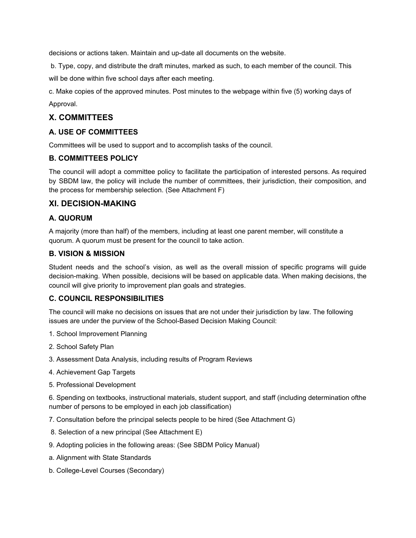decisions or actions taken. Maintain and up-date all documents on the website.

b. Type, copy, and distribute the draft minutes, marked as such, to each member of the council. This

will be done within five school days after each meeting.

c. Make copies of the approved minutes. Post minutes to the webpage within five (5) working days of Approval.

# **X. COMMITTEES**

## **A. USE OF COMMITTEES**

Committees will be used to support and to accomplish tasks of the council.

#### **B. COMMITTEES POLICY**

The council will adopt a committee policy to facilitate the participation of interested persons. As required by SBDM law, the policy will include the number of committees, their jurisdiction, their composition, and the process for membership selection. (See Attachment F)

## **XI. DECISION-MAKING**

## **A. QUORUM**

A majority (more than half) of the members, including at least one parent member, will constitute a quorum. A quorum must be present for the council to take action.

#### **B. VISION & MISSION**

Student needs and the school's vision, as well as the overall mission of specific programs will guide decision-making. When possible, decisions will be based on applicable data. When making decisions, the council will give priority to improvement plan goals and strategies.

## **C. COUNCIL RESPONSIBILITIES**

The council will make no decisions on issues that are not under their jurisdiction by law. The following issues are under the purview of the School-Based Decision Making Council:

- 1. School Improvement Planning
- 2. School Safety Plan
- 3. Assessment Data Analysis, including results of Program Reviews
- 4. Achievement Gap Targets
- 5. Professional Development

6. Spending on textbooks, instructional materials, student support, and staff (including determination ofthe number of persons to be employed in each job classification)

7. Consultation before the principal selects people to be hired (See Attachment G)

- 8. Selection of a new principal (See Attachment E)
- 9. Adopting policies in the following areas: (See SBDM Policy Manual)
- a. Alignment with State Standards
- b. College-Level Courses (Secondary)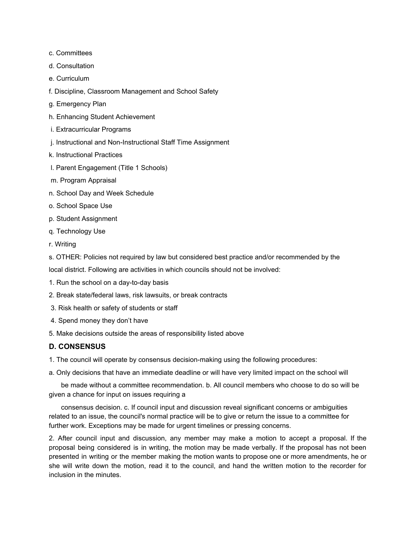- c. Committees
- d. Consultation
- e. Curriculum
- f. Discipline, Classroom Management and School Safety
- g. Emergency Plan
- h. Enhancing Student Achievement
- i. Extracurricular Programs
- j. Instructional and Non-Instructional Staff Time Assignment
- k. Instructional Practices
- l. Parent Engagement (Title 1 Schools)
- m. Program Appraisal
- n. School Day and Week Schedule
- o. School Space Use
- p. Student Assignment
- q. Technology Use
- r. Writing
- s. OTHER: Policies not required by law but considered best practice and/or recommended by the

local district. Following are activities in which councils should not be involved:

- 1. Run the school on a day-to-day basis
- 2. Break state/federal laws, risk lawsuits, or break contracts
- 3. Risk health or safety of students or staff
- 4. Spend money they don't have
- 5. Make decisions outside the areas of responsibility listed above

#### **D. CONSENSUS**

- 1. The council will operate by consensus decision-making using the following procedures:
- a. Only decisions that have an immediate deadline or will have very limited impact on the school will

be made without a committee recommendation. b. All council members who choose to do so will be given a chance for input on issues requiring a

consensus decision. c. If council input and discussion reveal significant concerns or ambiguities related to an issue, the council's normal practice will be to give or return the issue to a committee for further work. Exceptions may be made for urgent timelines or pressing concerns.

2. After council input and discussion, any member may make a motion to accept a proposal. If the proposal being considered is in writing, the motion may be made verbally. If the proposal has not been presented in writing or the member making the motion wants to propose one or more amendments, he or she will write down the motion, read it to the council, and hand the written motion to the recorder for inclusion in the minutes.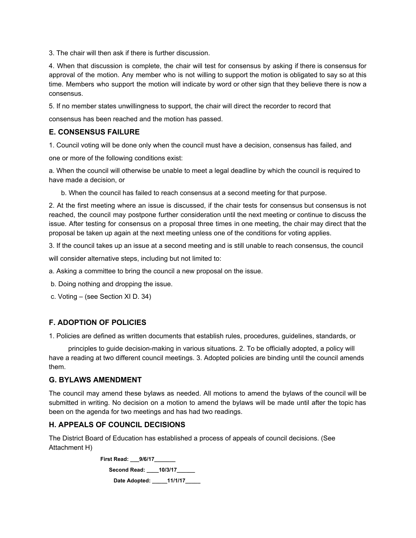3. The chair will then ask if there is further discussion.

4. When that discussion is complete, the chair will test for consensus by asking if there is consensus for approval of the motion. Any member who is not willing to support the motion is obligated to say so at this time. Members who support the motion will indicate by word or other sign that they believe there is now a consensus.

5. If no member states unwillingness to support, the chair will direct the recorder to record that

consensus has been reached and the motion has passed.

#### **E. CONSENSUS FAILURE**

1. Council voting will be done only when the council must have a decision, consensus has failed, and

one or more of the following conditions exist:

a. When the council will otherwise be unable to meet a legal deadline by which the council is required to have made a decision, or

b. When the council has failed to reach consensus at a second meeting for that purpose.

2. At the first meeting where an issue is discussed, if the chair tests for consensus but consensus is not reached, the council may postpone further consideration until the next meeting or continue to discuss the issue. After testing for consensus on a proposal three times in one meeting, the chair may direct that the proposal be taken up again at the next meeting unless one of the conditions for voting applies.

3. If the council takes up an issue at a second meeting and is still unable to reach consensus, the council

will consider alternative steps, including but not limited to:

a. Asking a committee to bring the council a new proposal on the issue.

b. Doing nothing and dropping the issue.

c. Voting – (see Section XI D. 34)

#### **F. ADOPTION OF POLICIES**

1. Policies are defined as written documents that establish rules, procedures, guidelines, standards, or

principles to guide decision-making in various situations. 2. To be officially adopted, a policy will have a reading at two different council meetings. 3. Adopted policies are binding until the council amends them.

#### **G. BYLAWS AMENDMENT**

The council may amend these bylaws as needed. All motions to amend the bylaws of the council will be submitted in writing. No decision on a motion to amend the bylaws will be made until after the topic has been on the agenda for two meetings and has had two readings.

#### **H. APPEALS OF COUNCIL DECISIONS**

The District Board of Education has established a process of appeals of council decisions. (See Attachment H)

> **First Read: \_\_\_9/6/17\_\_\_\_\_\_\_ Second Read: \_\_\_\_10/3/17\_\_\_\_\_\_ Date Adopted: \_\_\_\_\_11/1/17\_\_\_\_\_**